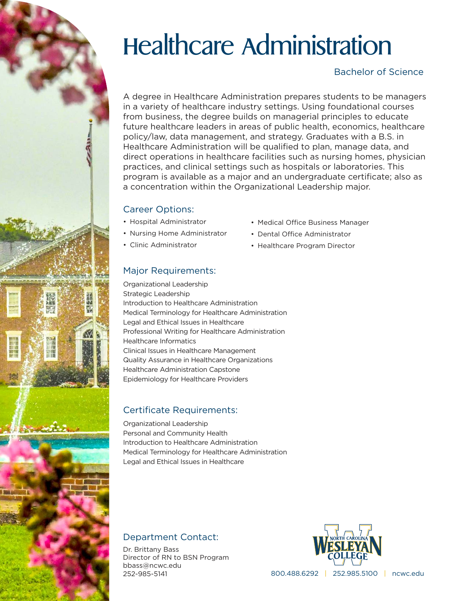# Healthcare Administration

# Bachelor of Science

A degree in Healthcare Administration prepares students to be managers in a variety of healthcare industry settings. Using foundational courses from business, the degree builds on managerial principles to educate future healthcare leaders in areas of public health, economics, healthcare policy/law, data management, and strategy. Graduates with a B.S. in Healthcare Administration will be qualified to plan, manage data, and direct operations in healthcare facilities such as nursing homes, physician practices, and clinical settings such as hospitals or laboratories. This program is available as a major and an undergraduate certificate; also as a concentration within the Organizational Leadership major.

## Career Options:

- Hospital Administrator
- Nursing Home Administrator
- Clinic Administrator
- Medical Office Business Manager
- Dental Office Administrator
- Healthcare Program Director

# Major Requirements:

Organizational Leadership Strategic Leadership Introduction to Healthcare Administration Medical Terminology for Healthcare Administration Legal and Ethical Issues in Healthcare Professional Writing for Healthcare Administration Healthcare Informatics Clinical Issues in Healthcare Management Quality Assurance in Healthcare Organizations Healthcare Administration Capstone Epidemiology for Healthcare Providers

# Certificate Requirements:

Organizational Leadership Personal and Community Health Introduction to Healthcare Administration Medical Terminology for Healthcare Administration Legal and Ethical Issues in Healthcare

# Department Contact:

Dr. Brittany Bass Director of RN to BSN Program bbass@ncwc.edu 252-985-5141



800.488.6292 | 252.985.5100 | ncwc.edu